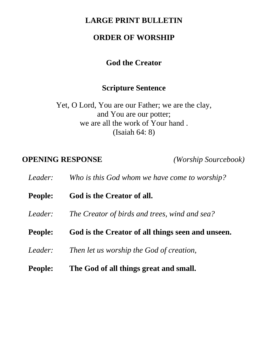#### **LARGE PRINT BULLETIN**

#### **ORDER OF WORSHIP**

#### **God the Creator**

#### **Scripture Sentence**

Yet, O Lord, You are our Father; we are the clay, and You are our potter; we are all the work of Your hand . (Isaiah 64: 8)

#### **OPENING RESPONSE** *(Worship Sourcebook)*

*Leader: Who is this God whom we have come to worship?*

**People: God is the Creator of all.**

*Leader: The Creator of birds and trees, wind and sea?*

- **People: God is the Creator of all things seen and unseen.**
- *Leader: Then let us worship the God of creation,*
- **People: The God of all things great and small.**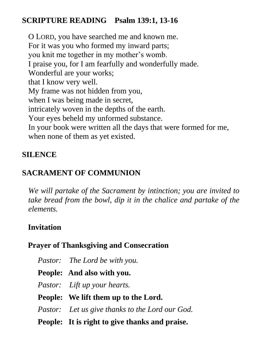## **SCRIPTURE READING Psalm 139:1, 13-16**

O LORD, you have searched me and known me. For it was you who formed my inward parts; you knit me together in my mother's womb. I praise you, for I am fearfully and wonderfully made. Wonderful are your works; that I know very well. My frame was not hidden from you, when I was being made in secret, intricately woven in the depths of the earth. Your eyes beheld my unformed substance. In your book were written all the days that were formed for me, when none of them as yet existed.

### **SILENCE**

# **SACRAMENT OF COMMUNION**

*We will partake of the Sacrament by intinction; you are invited to take bread from the bowl, dip it in the chalice and partake of the elements.* 

## **Invitation**

## **Prayer of Thanksgiving and Consecration**

| Pastor: The Lord be with you.                   |
|-------------------------------------------------|
| <b>People:</b> And also with you.               |
| <i>Pastor:</i> Lift up your hearts.             |
| People: We lift them up to the Lord.            |
| Pastor: Let us give thanks to the Lord our God. |
| People: It is right to give thanks and praise.  |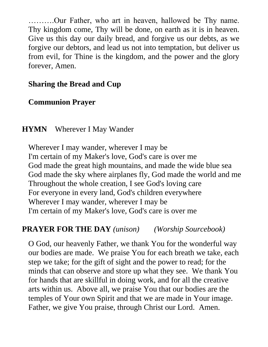……….Our Father, who art in heaven, hallowed be Thy name. Thy kingdom come, Thy will be done, on earth as it is in heaven. Give us this day our daily bread, and forgive us our debts, as we forgive our debtors, and lead us not into temptation, but deliver us from evil, for Thine is the kingdom, and the power and the glory forever, Amen.

#### **Sharing the Bread and Cup**

#### **Communion Prayer**

### **HYMN** Wherever I May Wander

Wherever I may wander, wherever I may be I'm certain of my Maker's love, God's care is over me God made the great high mountains, and made the wide blue sea God made the sky where airplanes fly, God made the world and me Throughout the whole creation, I see God's loving care For everyone in every land, God's children everywhere Wherever I may wander, wherever I may be I'm certain of my Maker's love, God's care is over me

## **PRAYER FOR THE DAY** *(unison) (Worship Sourcebook)*

O God, our heavenly Father, we thank You for the wonderful way our bodies are made. We praise You for each breath we take, each step we take; for the gift of sight and the power to read; for the minds that can observe and store up what they see. We thank You for hands that are skillful in doing work, and for all the creative arts within us. Above all, we praise You that our bodies are the temples of Your own Spirit and that we are made in Your image. Father, we give You praise, through Christ our Lord. Amen.